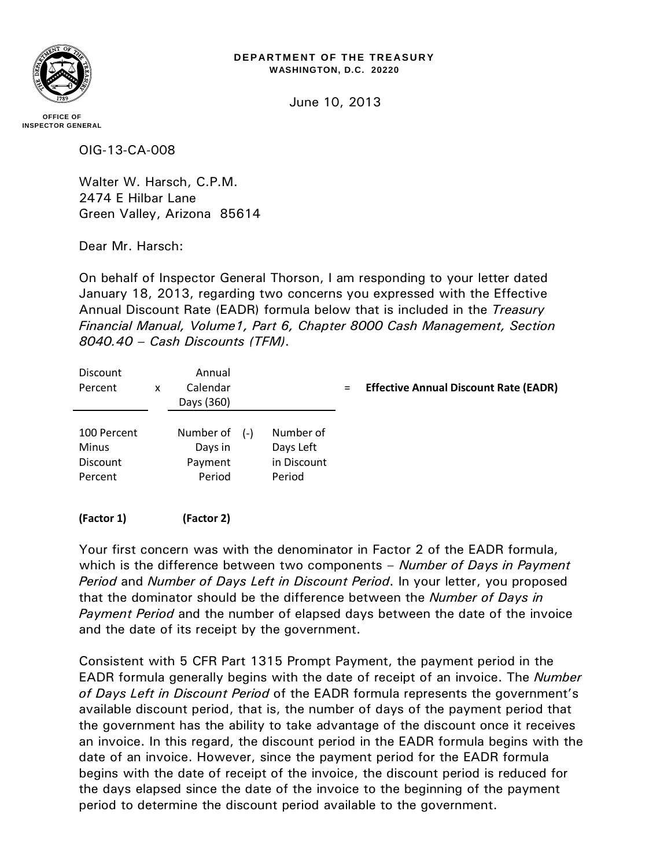## **DEPARTMENT OF THE TREASURY WASHINGTON, D.C. 20220**

June 10, 2013

**OFFICE OF INSPECTOR GENERAL**

OIG-13-CA-008

Walter W. Harsch, C.P.M. 2474 E Hilbar Lane Green Valley, Arizona 85614

Dear Mr. Harsch:

On behalf of Inspector General Thorson, I am responding to your letter dated January 18, 2013, regarding two concerns you expressed with the Effective Annual Discount Rate (EADR) formula below that is included in the *Treasury Financial Manual, Volume1, Part 6, Chapter 8000 Cash Management, Section 8040.40 – Cash Discounts (TFM)*.

| <b>Discount</b><br>Percent                         | x | Annual<br>Calendar<br>Days (360)          |       |                                                 | $=$ | <b>Effective Annual Discount Rate (EADR)</b> |
|----------------------------------------------------|---|-------------------------------------------|-------|-------------------------------------------------|-----|----------------------------------------------|
| 100 Percent<br>Minus<br><b>Discount</b><br>Percent |   | Number of<br>Days in<br>Payment<br>Period | $(-)$ | Number of<br>Days Left<br>in Discount<br>Period |     |                                              |
| (Factor 1)                                         |   | (Factor 2)                                |       |                                                 |     |                                              |

Your first concern was with the denominator in Factor 2 of the EADR formula, which is the difference between two components – *Number of Days in Payment Period* and *Number of Days Left in Discount Period*. In your letter, you proposed that the dominator should be the difference between the *Number of Days in Payment Period* and the number of elapsed days between the date of the invoice and the date of its receipt by the government.

Consistent with 5 CFR Part 1315 Prompt Payment, the payment period in the EADR formula generally begins with the date of receipt of an invoice. The *Number of Days Left in Discount Period* of the EADR formula represents the government's available discount period, that is, the number of days of the payment period that the government has the ability to take advantage of the discount once it receives an invoice. In this regard, the discount period in the EADR formula begins with the date of an invoice. However, since the payment period for the EADR formula begins with the date of receipt of the invoice, the discount period is reduced for the days elapsed since the date of the invoice to the beginning of the payment period to determine the discount period available to the government.